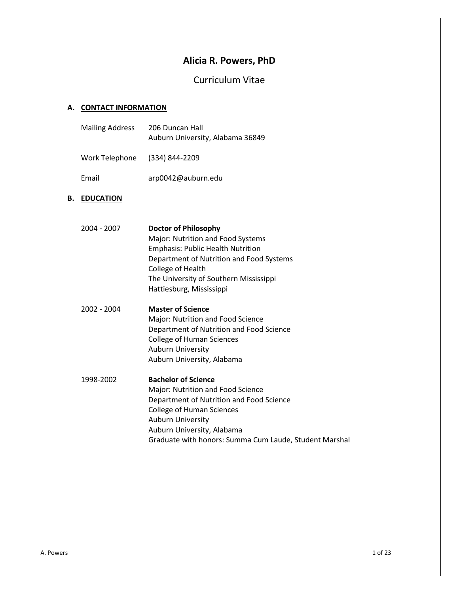# **Alicia R. Powers, PhD**

# Curriculum Vitae

# **A. CONTACT INFORMATION**

| <b>Mailing Address</b>        | 206 Duncan Hall<br>Auburn University, Alabama 36849 |
|-------------------------------|-----------------------------------------------------|
| Work Telephone (334) 844-2209 |                                                     |
| Email                         | arp0042@auburn.edu                                  |

# **B. EDUCATION**

| 2004 - 2007 | <b>Doctor of Philosophy</b><br>Major: Nutrition and Food Systems<br><b>Emphasis: Public Health Nutrition</b><br>Department of Nutrition and Food Systems<br>College of Health<br>The University of Southern Mississippi<br>Hattiesburg, Mississippi                 |
|-------------|---------------------------------------------------------------------------------------------------------------------------------------------------------------------------------------------------------------------------------------------------------------------|
| 2002 - 2004 | <b>Master of Science</b><br>Major: Nutrition and Food Science<br>Department of Nutrition and Food Science<br><b>College of Human Sciences</b><br><b>Auburn University</b><br>Auburn University, Alabama                                                             |
| 1998-2002   | <b>Bachelor of Science</b><br>Major: Nutrition and Food Science<br>Department of Nutrition and Food Science<br><b>College of Human Sciences</b><br><b>Auburn University</b><br>Auburn University, Alabama<br>Graduate with honors: Summa Cum Laude, Student Marshal |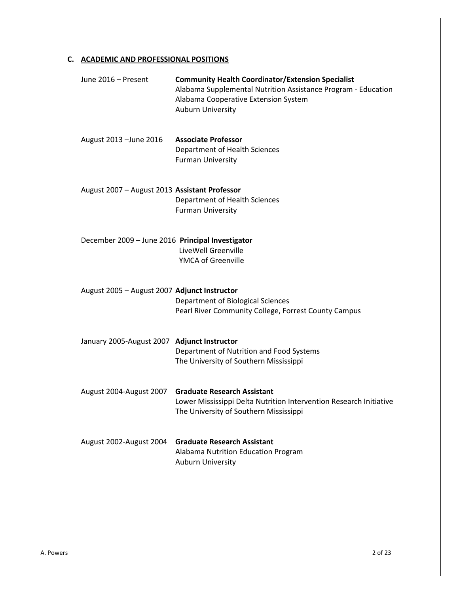# **C. ACADEMIC AND PROFESSIONAL POSITIONS**

| June 2016 - Present                              | <b>Community Health Coordinator/Extension Specialist</b><br>Alabama Supplemental Nutrition Assistance Program - Education<br>Alabama Cooperative Extension System<br><b>Auburn University</b> |
|--------------------------------------------------|-----------------------------------------------------------------------------------------------------------------------------------------------------------------------------------------------|
| August 2013 - June 2016                          | <b>Associate Professor</b><br>Department of Health Sciences<br><b>Furman University</b>                                                                                                       |
| August 2007 - August 2013 Assistant Professor    | Department of Health Sciences<br><b>Furman University</b>                                                                                                                                     |
| December 2009 - June 2016 Principal Investigator | LiveWell Greenville<br>YMCA of Greenville                                                                                                                                                     |
| August 2005 - August 2007 Adjunct Instructor     | Department of Biological Sciences<br>Pearl River Community College, Forrest County Campus                                                                                                     |
| January 2005-August 2007 Adjunct Instructor      | Department of Nutrition and Food Systems<br>The University of Southern Mississippi                                                                                                            |
| August 2004-August 2007                          | <b>Graduate Research Assistant</b><br>Lower Mississippi Delta Nutrition Intervention Research Initiative<br>The University of Southern Mississippi                                            |
| August 2002-August 2004                          | <b>Graduate Research Assistant</b><br>Alabama Nutrition Education Program<br><b>Auburn University</b>                                                                                         |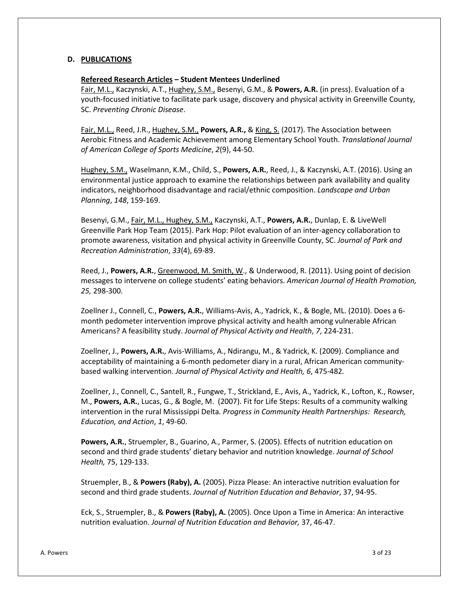## **D. PUBLICATIONS**

#### **Refereed Research Articles – Student Mentees Underlined**

Fair, M.L., Kaczynski, A.T., Hughey, S.M., Besenyi, G.M., & **Powers, A.R.** (in press). Evaluation of a youth-focused initiative to facilitate park usage, discovery and physical activity in Greenville County, SC. *Preventing Chronic Disease*.

Fair, M.L., Reed, J.R., Hughey, S.M., **Powers, A.R.,** & King, S. (2017). The Association between Aerobic Fitness and Academic Achievement among Elementary School Youth. *Translational Journal of American College of Sports Medicine*, *2*(9), 44-50.

Hughey, S.M., Waselmann, K.M., Child, S., **Powers, A.R.**, Reed, J., & Kaczynski, A.T. (2016). Using an environmental justice approach to examine the relationships between park availability and quality indicators, neighborhood disadvantage and racial/ethnic composition. *Landscape and Urban Planning*, *148*, 159-169.

Besenyi, G.M., Fair, M.L., Hughey, S.M., Kaczynski, A.T., **Powers, A.R.**, Dunlap, E. & LiveWell Greenville Park Hop Team (2015). Park Hop: Pilot evaluation of an inter-agency collaboration to promote awareness, visitation and physical activity in Greenville County, SC. *Journal of Park and Recreation Administration*, *33*(4), 69-89.

Reed, J., **Powers, A.R.**, Greenwood, M. Smith, W., & Underwood, R. (2011). Using point of decision messages to intervene on college students' eating behaviors. *American Journal of Health Promotion, 25,* 298-300.

Zoellner J., Connell, C., **Powers, A.R.**, Williams-Avis, A., Yadrick, K., & Bogle, ML. (2010). Does a 6 month pedometer intervention improve physical activity and health among vulnerable African Americans? A feasibility study. *Journal of Physical Activity and Health*, *7*, 224-231.

Zoellner, J., **Powers, A.R.**, Avis-Williams, A., Ndirangu, M., & Yadrick, K. (2009). Compliance and acceptability of maintaining a 6-month pedometer diary in a rural, African American communitybased walking intervention. *Journal of Physical Activity and Health, 6*, 475-482*.*

Zoellner, J., Connell, C., Santell, R., Fungwe, T., Strickland, E., Avis, A., Yadrick, K., Lofton, K., Rowser, M., **Powers, A.R.**, Lucas, G., & Bogle, M. (2007). Fit for Life Steps: Results of a community walking intervention in the rural Mississippi Delta*. Progress in Community Health Partnerships: Research, Education, and Action*, *1*, 49-60.

**Powers, A.R.**, Struempler, B., Guarino, A., Parmer, S. (2005). Effects of nutrition education on second and third grade students' dietary behavior and nutrition knowledge. *Journal of School Health,* 75, 129-133.

Struempler, B., & **Powers (Raby), A.** (2005). Pizza Please: An interactive nutrition evaluation for second and third grade students. *Journal of Nutrition Education and Behavior*, 37, 94-95.

Eck, S., Struempler, B., & **Powers (Raby), A.** (2005). Once Upon a Time in America: An interactive nutrition evaluation. *Journal of Nutrition Education and Behavior,* 37, 46-47.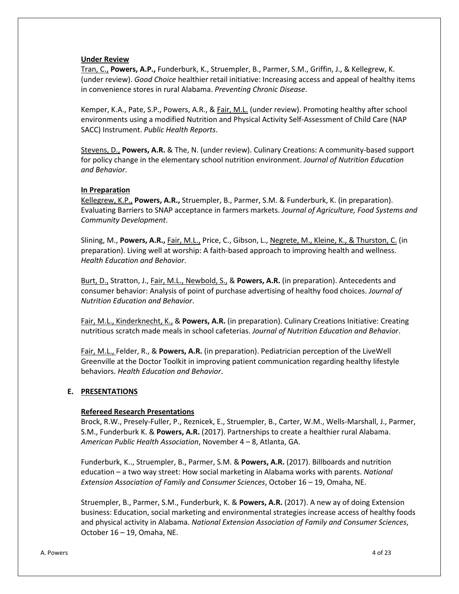#### **Under Review**

Tran, C., **Powers, A.P.,** Funderburk, K., Struempler, B., Parmer, S.M., Griffin, J., & Kellegrew, K. (under review). *Good Choice* healthier retail initiative: Increasing access and appeal of healthy items in convenience stores in rural Alabama. *Preventing Chronic Disease*.

Kemper, K.A., Pate, S.P., Powers, A.R., & Fair, M.L. (under review). Promoting healthy after school environments using a modified Nutrition and Physical Activity Self-Assessment of Child Care (NAP SACC) Instrument. *Public Health Reports*.

Stevens, D., **Powers, A.R.** & The, N. (under review). Culinary Creations: A community-based support for policy change in the elementary school nutrition environment. *Journal of Nutrition Education and Behavior*.

## **In Preparation**

Kellegrew, K.P., **Powers, A.R.,** Struempler, B., Parmer, S.M. & Funderburk, K. (in preparation). Evaluating Barriers to SNAP acceptance in farmers markets. *Journal of Agriculture, Food Systems and Community Development*.

Slining, M., **Powers, A.R.,** Fair, M.L., Price, C., Gibson, L., Negrete, M., Kleine, K., & Thurston, C. (in preparation). Living well at worship: A faith-based approach to improving health and wellness. *Health Education and Behavior*.

Burt, D., Stratton, J., Fair, M.L., Newbold, S., & **Powers, A.R.** (in preparation). Antecedents and consumer behavior: Analysis of point of purchase advertising of healthy food choices. *Journal of Nutrition Education and Behavior*.

Fair, M.L., Kinderknecht, K., & **Powers, A.R.** (in preparation). Culinary Creations Initiative: Creating nutritious scratch made meals in school cafeterias. *Journal of Nutrition Education and Behavior*.

Fair, M.L., Felder, R., & **Powers, A.R.** (in preparation). Pediatrician perception of the LiveWell Greenville at the Doctor Toolkit in improving patient communication regarding healthy lifestyle behaviors. *Health Education and Behavior*.

## **E. PRESENTATIONS**

## **Refereed Research Presentations**

Brock, R.W., Presely-Fuller, P., Reznicek, E., Struempler, B., Carter, W.M., Wells-Marshall, J., Parmer, S.M., Funderburk K. & **Powers, A.R.** (2017). Partnerships to create a healthier rural Alabama. *American Public Health Association*, November 4 – 8, Atlanta, GA.

Funderburk, K.., Struempler, B., Parmer, S.M. & **Powers, A.R.** (2017). Billboards and nutrition education – a two way street: How social marketing in Alabama works with parents. *National Extension Association of Family and Consumer Sciences*, October 16 – 19, Omaha, NE.

Struempler, B., Parmer, S.M., Funderburk, K. & **Powers, A.R.** (2017). A new ay of doing Extension business: Education, social marketing and environmental strategies increase access of healthy foods and physical activity in Alabama. *National Extension Association of Family and Consumer Sciences*, October 16 – 19, Omaha, NE.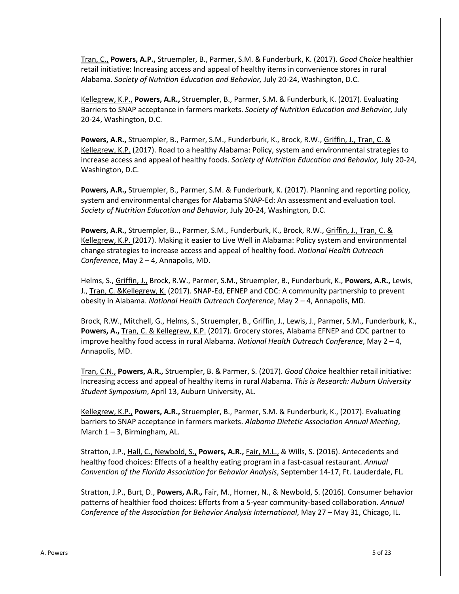Tran, C., **Powers, A.P.,** Struempler, B., Parmer, S.M. & Funderburk, K. (2017). *Good Choice* healthier retail initiative: Increasing access and appeal of healthy items in convenience stores in rural Alabama. *Society of Nutrition Education and Behavior,* July 20-24, Washington, D.C.

Kellegrew, K.P., **Powers, A.R.,** Struempler, B., Parmer, S.M. & Funderburk, K. (2017). Evaluating Barriers to SNAP acceptance in farmers markets. *Society of Nutrition Education and Behavior,* July 20-24, Washington, D.C.

**Powers, A.R.,** Struempler, B., Parmer, S.M., Funderburk, K., Brock, R.W., Griffin, J., Tran, C. & Kellegrew, K.P. (2017). Road to a healthy Alabama: Policy, system and environmental strategies to increase access and appeal of healthy foods. *Society of Nutrition Education and Behavior,* July 20-24, Washington, D.C.

**Powers, A.R.,** Struempler, B., Parmer, S.M. & Funderburk, K. (2017). Planning and reporting policy, system and environmental changes for Alabama SNAP-Ed: An assessment and evaluation tool. *Society of Nutrition Education and Behavior,* July 20-24, Washington, D.C.

**Powers, A.R.,** Struempler, B.., Parmer, S.M., Funderburk, K., Brock, R.W., Griffin, J., Tran, C. & Kellegrew, K.P. (2017). Making it easier to Live Well in Alabama: Policy system and environmental change strategies to increase access and appeal of healthy food. *National Health Outreach Conference*, May 2 – 4, Annapolis, MD.

Helms, S., Griffin, J., Brock, R.W., Parmer, S.M., Struempler, B., Funderburk, K., **Powers, A.R.,** Lewis, J., Tran, C. &Kellegrew, K. (2017). SNAP-Ed, EFNEP and CDC: A community partnership to prevent obesity in Alabama. *National Health Outreach Conference*, May 2 – 4, Annapolis, MD.

Brock, R.W., Mitchell, G., Helms, S., Struempler, B., Griffin, J., Lewis, J., Parmer, S.M., Funderburk, K., **Powers, A.,** Tran, C. & Kellegrew, K.P. (2017). Grocery stores, Alabama EFNEP and CDC partner to improve healthy food access in rural Alabama. *National Health Outreach Conference*, May 2 – 4, Annapolis, MD.

Tran, C.N., **Powers, A.R.,** Struempler, B. & Parmer, S. (2017). *Good Choice* healthier retail initiative: Increasing access and appeal of healthy items in rural Alabama. *This is Research: Auburn University Student Symposium*, April 13, Auburn University, AL.

Kellegrew, K.P., **Powers, A.R.,** Struempler, B., Parmer, S.M. & Funderburk, K., (2017). Evaluating barriers to SNAP acceptance in farmers markets. *Alabama Dietetic Association Annual Meeting*, March  $1 - 3$ , Birmingham, AL.

Stratton, J.P., Hall, C., Newbold, S., **Powers, A.R.,** Fair, M.L., & Wills, S. (2016). Antecedents and healthy food choices: Effects of a healthy eating program in a fast-casual restaurant*. Annual Convention of the Florida Association for Behavior Analysis*, September 14-17, Ft. Lauderdale, FL.

Stratton, J.P., Burt, D., **Powers, A.R.,** Fair, M., Horner, N., & Newbold, S. (2016). Consumer behavior patterns of healthier food choices: Efforts from a 5-year community-based collaboration. *Annual Conference of the Association for Behavior Analysis International*, May 27 – May 31, Chicago, IL.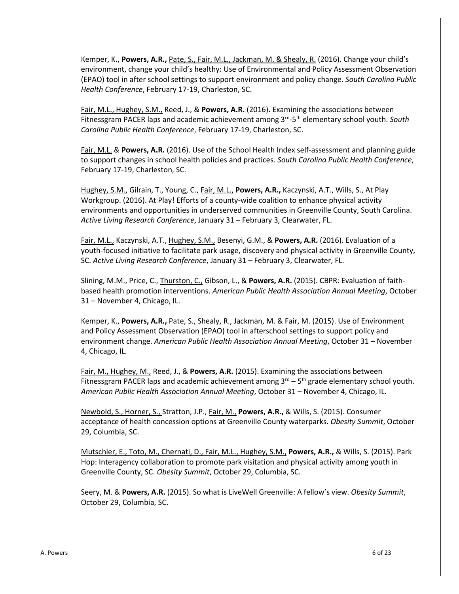Kemper, K., **Powers, A.R.,** Pate, S., Fair, M.L., Jackman, M. & Shealy, R. (2016). Change your child's environment, change your child's healthy: Use of Environmental and Policy Assessment Observation (EPAO) tool in after school settings to support environment and policy change. *South Carolina Public Health Conference*, February 17-19, Charleston, SC.

Fair, M.L., Hughey, S.M., Reed, J., & **Powers, A.R.** (2016). Examining the associations between Fitnessgram PACER laps and academic achievement among 3<sup>rd</sup>-5<sup>th</sup> elementary school youth. *South Carolina Public Health Conference*, February 17-19, Charleston, SC.

Fair, M.L. & **Powers, A.R.** (2016). Use of the School Health Index self-assessment and planning guide to support changes in school health policies and practices. *South Carolina Public Health Conference*, February 17-19, Charleston, SC.

Hughey, S.M., Gilrain, T., Young, C., Fair, M.L., **Powers, A.R.,** Kaczynski, A.T., Wills, S., At Play Workgroup. (2016). At Play! Efforts of a county-wide coalition to enhance physical activity environments and opportunities in underserved communities in Greenville County, South Carolina. *Active Living Research Conference*, January 31 – February 3, Clearwater, FL.

Fair, M.L., Kaczynski, A.T., Hughey, S.M., Besenyi, G.M., & **Powers, A.R.** (2016). Evaluation of a youth-focused initiative to facilitate park usage, discovery and physical activity in Greenville County, SC. *Active Living Research Conference*, January 31 – February 3, Clearwater, FL.

Slining, M.M., Price, C., Thurston, C., Gibson, L., & **Powers, A.R.** (2015). CBPR: Evaluation of faithbased health promotion interventions. *American Public Health Association Annual Meeting*, October 31 – November 4, Chicago, IL.

Kemper, K., **Powers, A.R.,** Pate, S., Shealy, R., Jackman, M. & Fair, M. (2015). Use of Environment and Policy Assessment Observation (EPAO) tool in afterschool settings to support policy and environment change. *American Public Health Association Annual Meeting*, October 31 – November 4, Chicago, IL.

Fair, M., Hughey, M., Reed, J., & **Powers, A.R.** (2015). Examining the associations between Fitnessgram PACER laps and academic achievement among  $3<sup>rd</sup> - 5<sup>th</sup>$  grade elementary school youth. *American Public Health Association Annual Meeting*, October 31 – November 4, Chicago, IL.

Newbold, S., Horner, S., Stratton, J.P., Fair, M., **Powers, A.R.,** & Wills, S. (2015). Consumer acceptance of health concession options at Greenville County waterparks. *Obesity Summit*, October 29, Columbia, SC.

Mutschler, E., Toto, M., Chernati, D., Fair, M.L., Hughey, S.M., **Powers, A.R.,** & Wills, S. (2015). Park Hop: Interagency collaboration to promote park visitation and physical activity among youth in Greenville County, SC. *Obesity Summit*, October 29, Columbia, SC.

Seery, M. & **Powers, A.R.** (2015). So what is LiveWell Greenville: A fellow's view. *Obesity Summit*, October 29, Columbia, SC.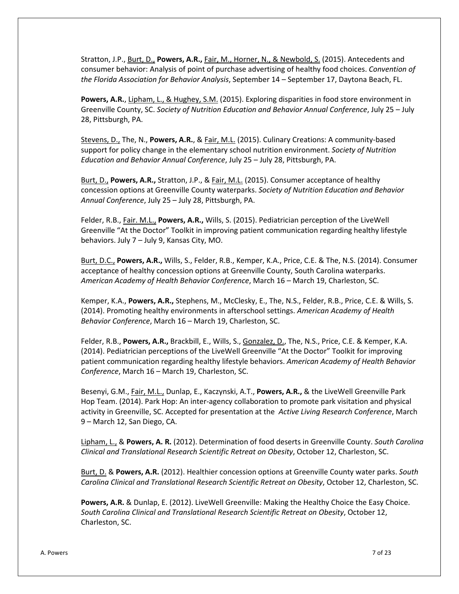Stratton, J.P., Burt, D., **Powers, A.R.,** Fair, M., Horner, N., & Newbold, S. (2015). Antecedents and consumer behavior: Analysis of point of purchase advertising of healthy food choices. *Convention of the Florida Association for Behavior Analysis*, September 14 – September 17, Daytona Beach, FL.

**Powers, A.R.**, Lipham, L., & Hughey, S.M. (2015). Exploring disparities in food store environment in Greenville County, SC. *Society of Nutrition Education and Behavior Annual Conference*, July 25 – July 28, Pittsburgh, PA.

Stevens, D., The, N., **Powers, A.R.**, & Fair, M.L. (2015). Culinary Creations: A community-based support for policy change in the elementary school nutrition environment. *Society of Nutrition Education and Behavior Annual Conference*, July 25 – July 28, Pittsburgh, PA.

Burt, D., **Powers, A.R.,** Stratton, J.P., & Fair, M.L. (2015). Consumer acceptance of healthy concession options at Greenville County waterparks. *Society of Nutrition Education and Behavior Annual Conference*, July 25 – July 28, Pittsburgh, PA.

Felder, R.B., Fair. M.L., **Powers, A.R.,** Wills, S. (2015). Pediatrician perception of the LiveWell Greenville "At the Doctor" Toolkit in improving patient communication regarding healthy lifestyle behaviors. July 7 – July 9, Kansas City, MO.

Burt, D.C., **Powers, A.R.,** Wills, S., Felder, R.B., Kemper, K.A., Price, C.E. & The, N.S. (2014). Consumer acceptance of healthy concession options at Greenville County, South Carolina waterparks. *American Academy of Health Behavior Conference*, March 16 – March 19, Charleston, SC.

Kemper, K.A., **Powers, A.R.,** Stephens, M., McClesky, E., The, N.S., Felder, R.B., Price, C.E. & Wills, S. (2014). Promoting healthy environments in afterschool settings. *American Academy of Health Behavior Conference*, March 16 – March 19, Charleston, SC.

Felder, R.B., **Powers, A.R.,** Brackbill, E., Wills, S., Gonzalez, D., The, N.S., Price, C.E. & Kemper, K.A. (2014). Pediatrician perceptions of the LiveWell Greenville "At the Doctor" Toolkit for improving patient communication regarding healthy lifestyle behaviors. *American Academy of Health Behavior Conference*, March 16 – March 19, Charleston, SC.

Besenyi, G.M., Fair, M.L., Dunlap, E., Kaczynski, A.T., **Powers, A.R.,** & the LiveWell Greenville Park Hop Team. (2014). Park Hop: An inter-agency collaboration to promote park visitation and physical activity in Greenville, SC. Accepted for presentation at the *Active Living Research Conference*, March 9 – March 12, San Diego, CA.

Lipham, L., & **Powers, A. R.** (2012). Determination of food deserts in Greenville County. *South Carolina Clinical and Translational Research Scientific Retreat on Obesity*, October 12, Charleston, SC.

Burt, D. & **Powers, A.R.** (2012). Healthier concession options at Greenville County water parks. *South Carolina Clinical and Translational Research Scientific Retreat on Obesity*, October 12, Charleston, SC.

**Powers, A.R.** & Dunlap, E. (2012). LiveWell Greenville: Making the Healthy Choice the Easy Choice. *South Carolina Clinical and Translational Research Scientific Retreat on Obesity*, October 12, Charleston, SC.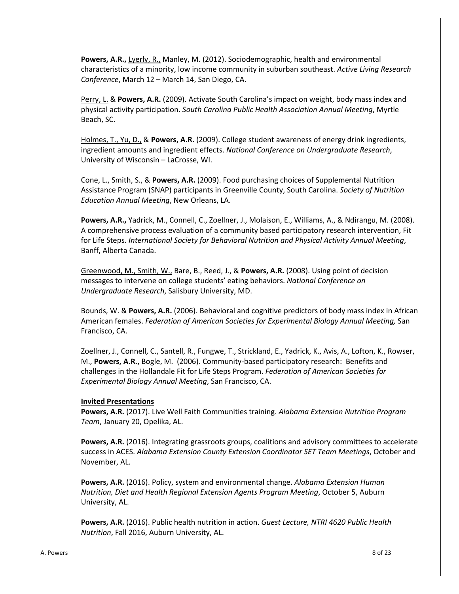**Powers, A.R.,** Lyerly, R., Manley, M. (2012). Sociodemographic, health and environmental characteristics of a minority, low income community in suburban southeast. *Active Living Research Conference*, March 12 – March 14, San Diego, CA.

Perry, L. & **Powers, A.R.** (2009). Activate South Carolina's impact on weight, body mass index and physical activity participation. *South Carolina Public Health Association Annual Meeting*, Myrtle Beach, SC.

Holmes, T., Yu, D., & **Powers, A.R.** (2009). College student awareness of energy drink ingredients, ingredient amounts and ingredient effects. *National Conference on Undergraduate Research*, University of Wisconsin – LaCrosse, WI.

Cone, L., Smith, S., & **Powers, A.R.** (2009). Food purchasing choices of Supplemental Nutrition Assistance Program (SNAP) participants in Greenville County, South Carolina. *Society of Nutrition Education Annual Meeting*, New Orleans, LA.

**Powers, A.R.,** Yadrick, M., Connell, C., Zoellner, J., Molaison, E., Williams, A., & Ndirangu, M. (2008). A comprehensive process evaluation of a community based participatory research intervention, Fit for Life Steps. *International Society for Behavioral Nutrition and Physical Activity Annual Meeting*, Banff, Alberta Canada.

Greenwood, M., Smith, W., Bare, B., Reed, J., & **Powers, A.R.** (2008). Using point of decision messages to intervene on college students' eating behaviors. *National Conference on Undergraduate Research*, Salisbury University, MD.

Bounds, W. & **Powers, A.R.** (2006). Behavioral and cognitive predictors of body mass index in African American females. *Federation of American Societies for Experimental Biology Annual Meeting,* San Francisco, CA.

Zoellner, J., Connell, C., Santell, R., Fungwe, T., Strickland, E., Yadrick, K., Avis, A., Lofton, K., Rowser, M., **Powers, A.R.,** Bogle, M. (2006). Community-based participatory research: Benefits and challenges in the Hollandale Fit for Life Steps Program. *Federation of American Societies for Experimental Biology Annual Meeting*, San Francisco, CA.

#### **Invited Presentations**

**Powers, A.R.** (2017). Live Well Faith Communities training. *Alabama Extension Nutrition Program Team*, January 20, Opelika, AL.

**Powers, A.R.** (2016). Integrating grassroots groups, coalitions and advisory committees to accelerate success in ACES. *Alabama Extension County Extension Coordinator SET Team Meetings*, October and November, AL.

**Powers, A.R.** (2016). Policy, system and environmental change. *Alabama Extension Human Nutrition, Diet and Health Regional Extension Agents Program Meeting*, October 5, Auburn University, AL.

**Powers, A.R.** (2016). Public health nutrition in action. *Guest Lecture, NTRI 4620 Public Health Nutrition*, Fall 2016, Auburn University, AL.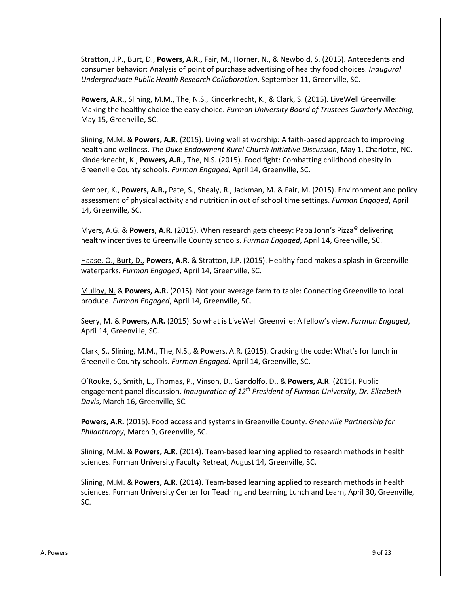Stratton, J.P., Burt, D., **Powers, A.R.,** Fair, M., Horner, N., & Newbold, S. (2015). Antecedents and consumer behavior: Analysis of point of purchase advertising of healthy food choices. *Inaugural Undergraduate Public Health Research Collaboration*, September 11, Greenville, SC.

**Powers, A.R.,** Slining, M.M., The, N.S., Kinderknecht, K., & Clark, S. (2015). LiveWell Greenville: Making the healthy choice the easy choice. *Furman University Board of Trustees Quarterly Meeting*, May 15, Greenville, SC.

Slining, M.M. & **Powers, A.R.** (2015). Living well at worship: A faith-based approach to improving health and wellness. *The Duke Endowment Rural Church Initiative Discussion*, May 1, Charlotte, NC. Kinderknecht, K., **Powers, A.R.,** The, N.S. (2015). Food fight: Combatting childhood obesity in Greenville County schools. *Furman Engaged*, April 14, Greenville, SC.

Kemper, K., **Powers, A.R.,** Pate, S., Shealy, R., Jackman, M. & Fair, M. (2015). Environment and policy assessment of physical activity and nutrition in out of school time settings. *Furman Engaged*, April 14, Greenville, SC.

Myers, A.G. & **Powers, A.R.** (2015). When research gets cheesy: Papa John's Pizza© delivering healthy incentives to Greenville County schools. *Furman Engaged*, April 14, Greenville, SC.

Haase, O., Burt, D., **Powers, A.R.** & Stratton, J.P. (2015). Healthy food makes a splash in Greenville waterparks. *Furman Engaged*, April 14, Greenville, SC.

Mulloy, N. & **Powers, A.R.** (2015). Not your average farm to table: Connecting Greenville to local produce. *Furman Engaged*, April 14, Greenville, SC.

Seery, M. & **Powers, A.R.** (2015). So what is LiveWell Greenville: A fellow's view. *Furman Engaged*, April 14, Greenville, SC.

Clark, S., Slining, M.M., The, N.S., & Powers, A.R. (2015). Cracking the code: What's for lunch in Greenville County schools. *Furman Engaged*, April 14, Greenville, SC.

O'Rouke, S., Smith, L., Thomas, P., Vinson, D., Gandolfo, D., & **Powers, A.R**. (2015). Public engagement panel discussion. *Inauguration of 12th President of Furman University, Dr. Elizabeth Davis*, March 16, Greenville, SC.

**Powers, A.R.** (2015). Food access and systems in Greenville County. *Greenville Partnership for Philanthropy*, March 9, Greenville, SC.

Slining, M.M. & **Powers, A.R.** (2014). Team-based learning applied to research methods in health sciences. Furman University Faculty Retreat, August 14, Greenville, SC.

Slining, M.M. & **Powers, A.R.** (2014). Team-based learning applied to research methods in health sciences. Furman University Center for Teaching and Learning Lunch and Learn, April 30, Greenville, SC.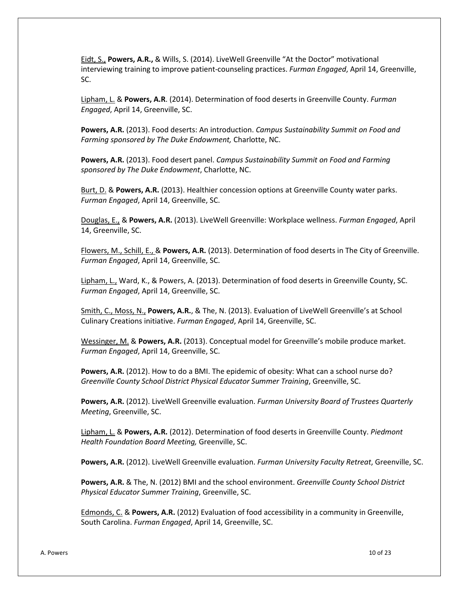Eidt, S., **Powers, A.R.,** & Wills, S. (2014). LiveWell Greenville "At the Doctor" motivational interviewing training to improve patient-counseling practices. *Furman Engaged*, April 14, Greenville, SC.

Lipham, L. & **Powers, A.R**. (2014). Determination of food deserts in Greenville County. *Furman Engaged*, April 14, Greenville, SC.

**Powers, A.R.** (2013). Food deserts: An introduction. *Campus Sustainability Summit on Food and Farming sponsored by The Duke Endowment,* Charlotte, NC.

**Powers, A.R.** (2013). Food desert panel. *Campus Sustainability Summit on Food and Farming sponsored by The Duke Endowment*, Charlotte, NC.

Burt, D. & **Powers, A.R.** (2013). Healthier concession options at Greenville County water parks. *Furman Engaged*, April 14, Greenville, SC.

Douglas, E., & **Powers, A.R.** (2013). LiveWell Greenville: Workplace wellness. *Furman Engaged*, April 14, Greenville, SC.

Flowers, M., Schill, E., & **Powers, A.R.** (2013). Determination of food deserts in The City of Greenville. *Furman Engaged*, April 14, Greenville, SC.

Lipham, L., Ward, K., & Powers, A. (2013). Determination of food deserts in Greenville County, SC. *Furman Engaged*, April 14, Greenville, SC.

Smith, C., Moss, N., **Powers, A.R.**, & The, N. (2013). Evaluation of LiveWell Greenville's at School Culinary Creations initiative. *Furman Engaged*, April 14, Greenville, SC.

Wessinger, M. & **Powers, A.R.** (2013). Conceptual model for Greenville's mobile produce market. *Furman Engaged*, April 14, Greenville, SC.

**Powers, A.R.** (2012). How to do a BMI. The epidemic of obesity: What can a school nurse do? *Greenville County School District Physical Educator Summer Training*, Greenville, SC.

**Powers, A.R.** (2012). LiveWell Greenville evaluation. *Furman University Board of Trustees Quarterly Meeting*, Greenville, SC.

Lipham, L. & **Powers, A.R.** (2012). Determination of food deserts in Greenville County. *Piedmont Health Foundation Board Meeting,* Greenville, SC.

**Powers, A.R.** (2012). LiveWell Greenville evaluation. *Furman University Faculty Retreat*, Greenville, SC.

**Powers, A.R.** & The, N. (2012) BMI and the school environment. *Greenville County School District Physical Educator Summer Training*, Greenville, SC.

Edmonds, C. & **Powers, A.R.** (2012) Evaluation of food accessibility in a community in Greenville, South Carolina. *Furman Engaged*, April 14, Greenville, SC.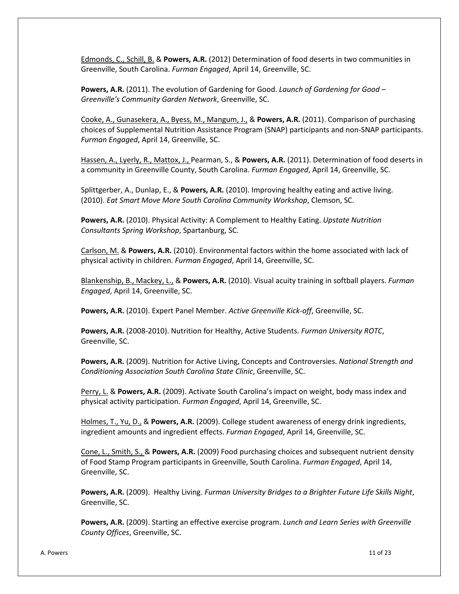Edmonds, C., Schill, B. & **Powers, A.R.** (2012) Determination of food deserts in two communities in Greenville, South Carolina. *Furman Engaged*, April 14, Greenville, SC.

**Powers, A.R.** (2011). The evolution of Gardening for Good. *Launch of Gardening for Good – Greenville's Community Garden Network*, Greenville, SC.

Cooke, A., Gunasekera, A., Byess, M., Mangum, J., & **Powers, A.R.** (2011). Comparison of purchasing choices of Supplemental Nutrition Assistance Program (SNAP) participants and non-SNAP participants. *Furman Engaged*, April 14, Greenville, SC.

Hassen, A., Lyerly, R., Mattox, J., Pearman, S., & **Powers, A.R.** (2011). Determination of food deserts in a community in Greenville County, South Carolina. *Furman Engaged*, April 14, Greenville, SC.

Splittgerber, A., Dunlap, E., & **Powers, A.R.** (2010). Improving healthy eating and active living. (2010). *Eat Smart Move More South Carolina Community Workshop*, Clemson, SC.

**Powers, A.R.** (2010). Physical Activity: A Complement to Healthy Eating. *Upstate Nutrition Consultants Spring Workshop*, Spartanburg, SC.

Carlson, M. & **Powers, A.R.** (2010). Environmental factors within the home associated with lack of physical activity in children. *Furman Engaged*, April 14, Greenville, SC.

Blankenship, B., Mackey, L., & **Powers, A.R.** (2010). Visual acuity training in softball players. *Furman Engaged*, April 14, Greenville, SC.

**Powers, A.R.** (2010). Expert Panel Member. *Active Greenville Kick-off*, Greenville, SC.

**Powers, A.R.** (2008-2010). Nutrition for Healthy, Active Students. *Furman University ROTC*, Greenville, SC.

**Powers, A.R.** (2009). Nutrition for Active Living, Concepts and Controversies. *National Strength and Conditioning Association South Carolina State Clinic*, Greenville, SC.

Perry, L. & **Powers, A.R.** (2009). Activate South Carolina's impact on weight, body mass index and physical activity participation. *Furman Engaged*, April 14, Greenville, SC.

Holmes, T., Yu, D., & **Powers, A.R.** (2009). College student awareness of energy drink ingredients, ingredient amounts and ingredient effects. *Furman Engaged*, April 14, Greenville, SC.

Cone, L., Smith, S., & **Powers, A.R.** (2009) Food purchasing choices and subsequent nutrient density of Food Stamp Program participants in Greenville, South Carolina. *Furman Engaged*, April 14, Greenville, SC.

**Powers, A.R.** (2009). Healthy Living. *Furman University Bridges to a Brighter Future Life Skills Night*, Greenville, SC.

**Powers, A.R.** (2009). Starting an effective exercise program. *Lunch and Learn Series with Greenville County Offices*, Greenville, SC.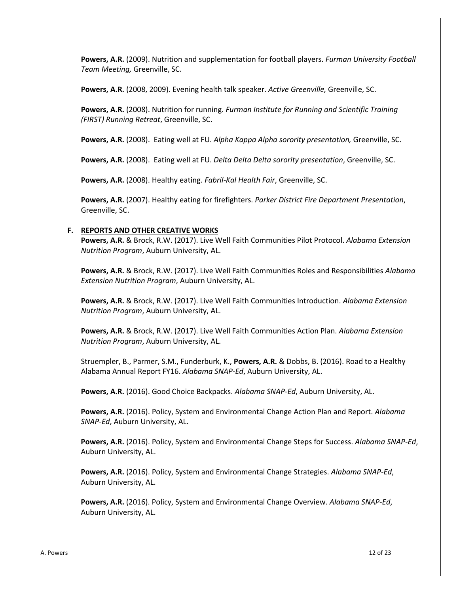**Powers, A.R.** (2009). Nutrition and supplementation for football players. *Furman University Football Team Meeting,* Greenville, SC.

**Powers, A.R.** (2008, 2009). Evening health talk speaker. *Active Greenville,* Greenville, SC.

**Powers, A.R.** (2008). Nutrition for running. *Furman Institute for Running and Scientific Training (FIRST) Running Retreat*, Greenville, SC.

**Powers, A.R.** (2008). Eating well at FU. *Alpha Kappa Alpha sorority presentation,* Greenville, SC.

**Powers, A.R.** (2008). Eating well at FU. *Delta Delta Delta sorority presentation*, Greenville, SC.

**Powers, A.R.** (2008). Healthy eating. *Fabril-Kal Health Fair*, Greenville, SC.

**Powers, A.R.** (2007). Healthy eating for firefighters. *Parker District Fire Department Presentation*, Greenville, SC.

#### **F. REPORTS AND OTHER CREATIVE WORKS**

**Powers, A.R.** & Brock, R.W. (2017). Live Well Faith Communities Pilot Protocol. *Alabama Extension Nutrition Program*, Auburn University, AL.

**Powers, A.R.** & Brock, R.W. (2017). Live Well Faith Communities Roles and Responsibilities *Alabama Extension Nutrition Program*, Auburn University, AL.

**Powers, A.R.** & Brock, R.W. (2017). Live Well Faith Communities Introduction. *Alabama Extension Nutrition Program*, Auburn University, AL.

**Powers, A.R.** & Brock, R.W. (2017). Live Well Faith Communities Action Plan. *Alabama Extension Nutrition Program*, Auburn University, AL.

Struempler, B., Parmer, S.M., Funderburk, K., **Powers, A.R.** & Dobbs, B. (2016). Road to a Healthy Alabama Annual Report FY16. *Alabama SNAP-Ed*, Auburn University, AL.

**Powers, A.R.** (2016). Good Choice Backpacks. *Alabama SNAP-Ed*, Auburn University, AL.

**Powers, A.R.** (2016). Policy, System and Environmental Change Action Plan and Report. *Alabama SNAP-Ed*, Auburn University, AL.

**Powers, A.R.** (2016). Policy, System and Environmental Change Steps for Success. *Alabama SNAP-Ed*, Auburn University, AL.

**Powers, A.R.** (2016). Policy, System and Environmental Change Strategies. *Alabama SNAP-Ed*, Auburn University, AL.

**Powers, A.R.** (2016). Policy, System and Environmental Change Overview. *Alabama SNAP-Ed*, Auburn University, AL.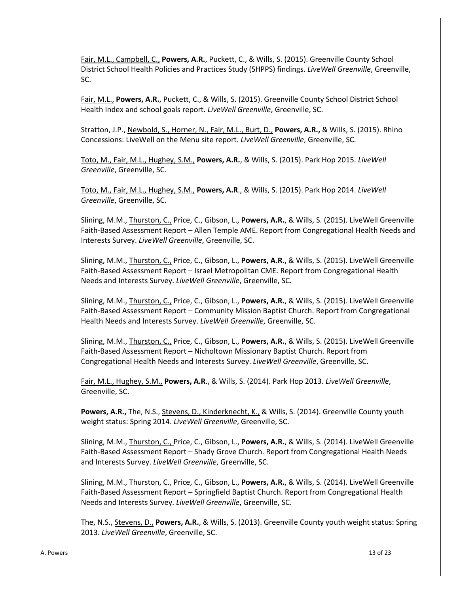Fair, M.L., Campbell, C., **Powers, A.R.**, Puckett, C., & Wills, S. (2015). Greenville County School District School Health Policies and Practices Study (SHPPS) findings. *LiveWell Greenville*, Greenville, SC.

Fair, M.L., **Powers, A.R.**, Puckett, C., & Wills, S. (2015). Greenville County School District School Health Index and school goals report. *LiveWell Greenville*, Greenville, SC.

Stratton, J.P., Newbold, S., Horner, N., Fair, M.L., Burt, D., **Powers, A.R.,** & Wills, S. (2015). Rhino Concessions: LiveWell on the Menu site report. *LiveWell Greenville*, Greenville, SC.

Toto, M., Fair, M.L., Hughey, S.M., **Powers, A.R.**, & Wills, S. (2015). Park Hop 2015. *LiveWell Greenville*, Greenville, SC.

Toto, M., Fair, M.L., Hughey, S.M., **Powers, A.R**., & Wills, S. (2015). Park Hop 2014. *LiveWell Greenville*, Greenville, SC.

Slining, M.M., Thurston, C., Price, C., Gibson, L., **Powers, A.R.**, & Wills, S. (2015). LiveWell Greenville Faith-Based Assessment Report – Allen Temple AME. Report from Congregational Health Needs and Interests Survey. *LiveWell Greenville*, Greenville, SC.

Slining, M.M., Thurston, C., Price, C., Gibson, L., **Powers, A.R.**, & Wills, S. (2015). LiveWell Greenville Faith-Based Assessment Report – Israel Metropolitan CME. Report from Congregational Health Needs and Interests Survey. *LiveWell Greenville*, Greenville, SC.

Slining, M.M., Thurston, C., Price, C., Gibson, L., **Powers, A.R.**, & Wills, S. (2015). LiveWell Greenville Faith-Based Assessment Report – Community Mission Baptist Church. Report from Congregational Health Needs and Interests Survey. *LiveWell Greenville*, Greenville, SC.

Slining, M.M., Thurston, C., Price, C., Gibson, L., **Powers, A.R.**, & Wills, S. (2015). LiveWell Greenville Faith-Based Assessment Report – Nicholtown Missionary Baptist Church. Report from Congregational Health Needs and Interests Survey. *LiveWell Greenville*, Greenville, SC.

Fair, M.L., Hughey, S.M., **Powers, A.R**., & Wills, S. (2014). Park Hop 2013. *LiveWell Greenville*, Greenville, SC.

**Powers, A.R.,** The, N.S., Stevens, D., Kinderknecht, K., & Wills, S. (2014). Greenville County youth weight status: Spring 2014. *LiveWell Greenville*, Greenville, SC.

Slining, M.M., Thurston, C., Price, C., Gibson, L., **Powers, A.R.**, & Wills, S. (2014). LiveWell Greenville Faith-Based Assessment Report – Shady Grove Church. Report from Congregational Health Needs and Interests Survey. *LiveWell Greenville*, Greenville, SC.

Slining, M.M., Thurston, C., Price, C., Gibson, L., **Powers, A.R.**, & Wills, S. (2014). LiveWell Greenville Faith-Based Assessment Report – Springfield Baptist Church. Report from Congregational Health Needs and Interests Survey. *LiveWell Greenville*, Greenville, SC.

The, N.S., Stevens, D., **Powers, A.R.**, & Wills, S. (2013). Greenville County youth weight status: Spring 2013. *LiveWell Greenville*, Greenville, SC.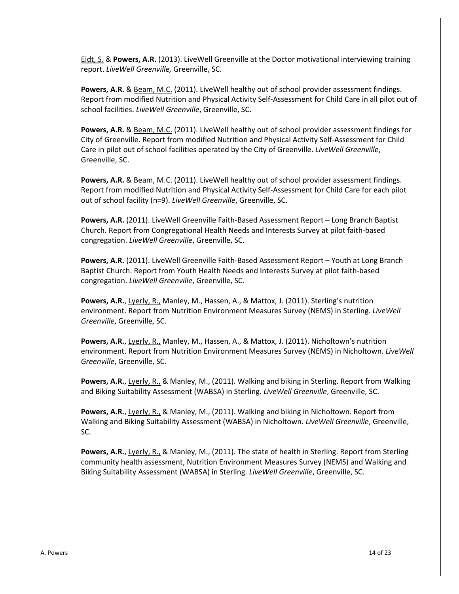Eidt, S. & **Powers, A.R.** (2013). LiveWell Greenville at the Doctor motivational interviewing training report. *LiveWell Greenville,* Greenville, SC.

Powers, A.R. & Beam, M.C. (2011). LiveWell healthy out of school provider assessment findings. Report from modified Nutrition and Physical Activity Self-Assessment for Child Care in all pilot out of school facilities. *LiveWell Greenville*, Greenville, SC.

Powers, A.R. & Beam, M.C. (2011). LiveWell healthy out of school provider assessment findings for City of Greenville. Report from modified Nutrition and Physical Activity Self-Assessment for Child Care in pilot out of school facilities operated by the City of Greenville. *LiveWell Greenville*, Greenville, SC.

Powers, A.R. & Beam, M.C. (2011). LiveWell healthy out of school provider assessment findings. Report from modified Nutrition and Physical Activity Self-Assessment for Child Care for each pilot out of school facility (n=9). *LiveWell Greenville*, Greenville, SC.

**Powers, A.R.** (2011). LiveWell Greenville Faith-Based Assessment Report – Long Branch Baptist Church. Report from Congregational Health Needs and Interests Survey at pilot faith-based congregation. *LiveWell Greenville*, Greenville, SC.

**Powers, A.R.** (2011). LiveWell Greenville Faith-Based Assessment Report – Youth at Long Branch Baptist Church. Report from Youth Health Needs and Interests Survey at pilot faith-based congregation. *LiveWell Greenville*, Greenville, SC.

Powers, A.R., Lyerly, R., Manley, M., Hassen, A., & Mattox, J. (2011). Sterling's nutrition environment. Report from Nutrition Environment Measures Survey (NEMS) in Sterling. *LiveWell Greenville*, Greenville, SC.

**Powers, A.R.**, Lyerly, R., Manley, M., Hassen, A., & Mattox, J. (2011). Nicholtown's nutrition environment. Report from Nutrition Environment Measures Survey (NEMS) in Nicholtown. *LiveWell Greenville*, Greenville, SC.

**Powers, A.R.**, Lyerly, R., & Manley, M., (2011). Walking and biking in Sterling. Report from Walking and Biking Suitability Assessment (WABSA) in Sterling. *LiveWell Greenville*, Greenville, SC.

**Powers, A.R.**, Lyerly, R., & Manley, M., (2011). Walking and biking in Nicholtown. Report from Walking and Biking Suitability Assessment (WABSA) in Nicholtown. *LiveWell Greenville*, Greenville, SC.

**Powers, A.R.**, Lyerly, R., & Manley, M., (2011). The state of health in Sterling. Report from Sterling community health assessment, Nutrition Environment Measures Survey (NEMS) and Walking and Biking Suitability Assessment (WABSA) in Sterling. *LiveWell Greenville*, Greenville, SC.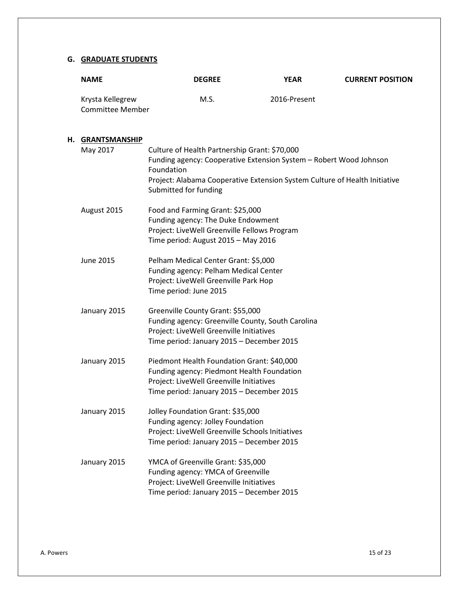# **G. GRADUATE STUDENTS**

|    | <b>NAME</b>                                 | <b>DEGREE</b>                                                                                                                                                                                                                            | <b>YEAR</b>  | <b>CURRENT POSITION</b> |
|----|---------------------------------------------|------------------------------------------------------------------------------------------------------------------------------------------------------------------------------------------------------------------------------------------|--------------|-------------------------|
|    | Krysta Kellegrew<br><b>Committee Member</b> | M.S.                                                                                                                                                                                                                                     | 2016-Present |                         |
| Н. | <b>GRANTSMANSHIP</b>                        |                                                                                                                                                                                                                                          |              |                         |
|    | May 2017                                    | Culture of Health Partnership Grant: \$70,000<br>Funding agency: Cooperative Extension System - Robert Wood Johnson<br>Foundation<br>Project: Alabama Cooperative Extension System Culture of Health Initiative<br>Submitted for funding |              |                         |
|    | August 2015                                 | Food and Farming Grant: \$25,000<br>Funding agency: The Duke Endowment<br>Project: LiveWell Greenville Fellows Program<br>Time period: August 2015 - May 2016                                                                            |              |                         |
|    | <b>June 2015</b>                            | Pelham Medical Center Grant: \$5,000<br>Funding agency: Pelham Medical Center<br>Project: LiveWell Greenville Park Hop<br>Time period: June 2015                                                                                         |              |                         |
|    | January 2015                                | Greenville County Grant: \$55,000<br>Funding agency: Greenville County, South Carolina<br>Project: LiveWell Greenville Initiatives<br>Time period: January 2015 - December 2015                                                          |              |                         |
|    | January 2015                                | Piedmont Health Foundation Grant: \$40,000<br>Funding agency: Piedmont Health Foundation<br>Project: LiveWell Greenville Initiatives<br>Time period: January 2015 - December 2015                                                        |              |                         |
|    | January 2015                                | Jolley Foundation Grant: \$35,000<br>Funding agency: Jolley Foundation<br>Project: LiveWell Greenville Schools Initiatives<br>Time period: January 2015 - December 2015                                                                  |              |                         |
|    | January 2015                                | YMCA of Greenville Grant: \$35,000<br>Funding agency: YMCA of Greenville<br>Project: LiveWell Greenville Initiatives<br>Time period: January 2015 - December 2015                                                                        |              |                         |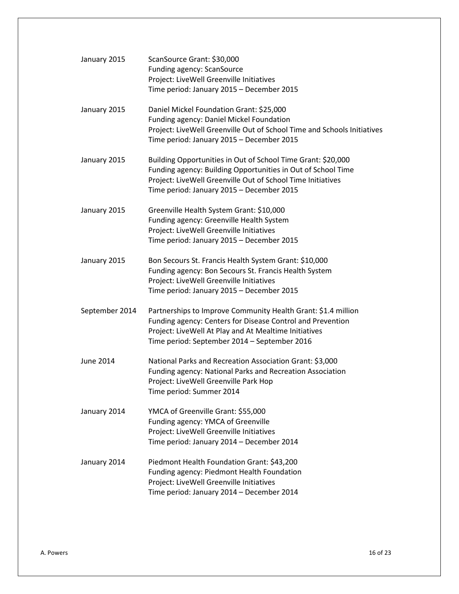| January 2015     | ScanSource Grant: \$30,000<br>Funding agency: ScanSource<br>Project: LiveWell Greenville Initiatives<br>Time period: January 2015 - December 2015                                                                                        |
|------------------|------------------------------------------------------------------------------------------------------------------------------------------------------------------------------------------------------------------------------------------|
| January 2015     | Daniel Mickel Foundation Grant: \$25,000<br>Funding agency: Daniel Mickel Foundation<br>Project: LiveWell Greenville Out of School Time and Schools Initiatives<br>Time period: January 2015 - December 2015                             |
| January 2015     | Building Opportunities in Out of School Time Grant: \$20,000<br>Funding agency: Building Opportunities in Out of School Time<br>Project: LiveWell Greenville Out of School Time Initiatives<br>Time period: January 2015 - December 2015 |
| January 2015     | Greenville Health System Grant: \$10,000<br>Funding agency: Greenville Health System<br>Project: LiveWell Greenville Initiatives<br>Time period: January 2015 - December 2015                                                            |
| January 2015     | Bon Secours St. Francis Health System Grant: \$10,000<br>Funding agency: Bon Secours St. Francis Health System<br>Project: LiveWell Greenville Initiatives<br>Time period: January 2015 - December 2015                                  |
| September 2014   | Partnerships to Improve Community Health Grant: \$1.4 million<br>Funding agency: Centers for Disease Control and Prevention<br>Project: LiveWell At Play and At Mealtime Initiatives<br>Time period: September 2014 - September 2016     |
| <b>June 2014</b> | National Parks and Recreation Association Grant: \$3,000<br>Funding agency: National Parks and Recreation Association<br>Project: LiveWell Greenville Park Hop<br>Time period: Summer 2014                                               |
| January 2014     | YMCA of Greenville Grant: \$55,000<br>Funding agency: YMCA of Greenville<br>Project: LiveWell Greenville Initiatives<br>Time period: January 2014 - December 2014                                                                        |
| January 2014     | Piedmont Health Foundation Grant: \$43,200<br>Funding agency: Piedmont Health Foundation<br>Project: LiveWell Greenville Initiatives<br>Time period: January 2014 - December 2014                                                        |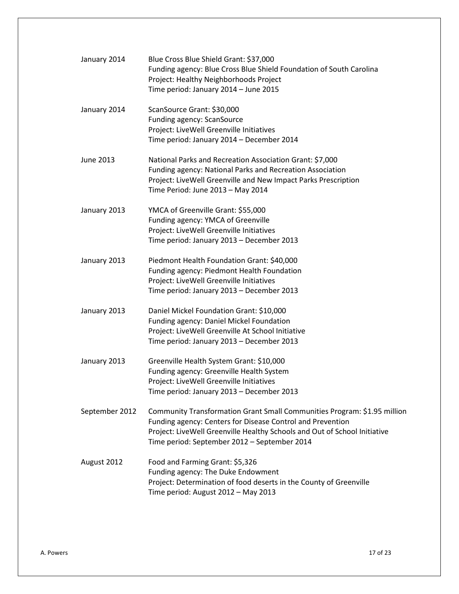| January 2014   | Blue Cross Blue Shield Grant: \$37,000<br>Funding agency: Blue Cross Blue Shield Foundation of South Carolina<br>Project: Healthy Neighborhoods Project<br>Time period: January 2014 - June 2015                                                                    |
|----------------|---------------------------------------------------------------------------------------------------------------------------------------------------------------------------------------------------------------------------------------------------------------------|
| January 2014   | ScanSource Grant: \$30,000<br>Funding agency: ScanSource<br>Project: LiveWell Greenville Initiatives<br>Time period: January 2014 - December 2014                                                                                                                   |
| June 2013      | National Parks and Recreation Association Grant: \$7,000<br>Funding agency: National Parks and Recreation Association<br>Project: LiveWell Greenville and New Impact Parks Prescription<br>Time Period: June 2013 - May 2014                                        |
| January 2013   | YMCA of Greenville Grant: \$55,000<br>Funding agency: YMCA of Greenville<br>Project: LiveWell Greenville Initiatives<br>Time period: January 2013 - December 2013                                                                                                   |
| January 2013   | Piedmont Health Foundation Grant: \$40,000<br>Funding agency: Piedmont Health Foundation<br>Project: LiveWell Greenville Initiatives<br>Time period: January 2013 - December 2013                                                                                   |
| January 2013   | Daniel Mickel Foundation Grant: \$10,000<br>Funding agency: Daniel Mickel Foundation<br>Project: LiveWell Greenville At School Initiative<br>Time period: January 2013 - December 2013                                                                              |
| January 2013   | Greenville Health System Grant: \$10,000<br>Funding agency: Greenville Health System<br>Project: LiveWell Greenville Initiatives<br>Time period: January 2013 – December 2013                                                                                       |
| September 2012 | Community Transformation Grant Small Communities Program: \$1.95 million<br>Funding agency: Centers for Disease Control and Prevention<br>Project: LiveWell Greenville Healthy Schools and Out of School Initiative<br>Time period: September 2012 - September 2014 |
| August 2012    | Food and Farming Grant: \$5,326<br>Funding agency: The Duke Endowment<br>Project: Determination of food deserts in the County of Greenville<br>Time period: August 2012 - May 2013                                                                                  |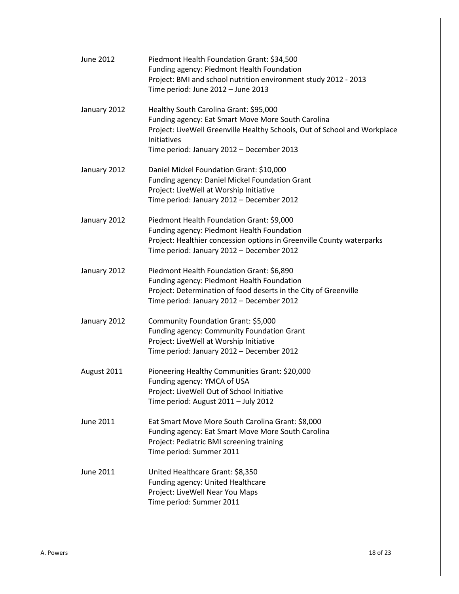| June 2012    | Piedmont Health Foundation Grant: \$34,500<br>Funding agency: Piedmont Health Foundation<br>Project: BMI and school nutrition environment study 2012 - 2013<br>Time period: June 2012 - June 2013                                     |
|--------------|---------------------------------------------------------------------------------------------------------------------------------------------------------------------------------------------------------------------------------------|
| January 2012 | Healthy South Carolina Grant: \$95,000<br>Funding agency: Eat Smart Move More South Carolina<br>Project: LiveWell Greenville Healthy Schools, Out of School and Workplace<br>Initiatives<br>Time period: January 2012 - December 2013 |
| January 2012 | Daniel Mickel Foundation Grant: \$10,000<br>Funding agency: Daniel Mickel Foundation Grant<br>Project: LiveWell at Worship Initiative<br>Time period: January 2012 - December 2012                                                    |
| January 2012 | Piedmont Health Foundation Grant: \$9,000<br>Funding agency: Piedmont Health Foundation<br>Project: Healthier concession options in Greenville County waterparks<br>Time period: January 2012 - December 2012                         |
| January 2012 | Piedmont Health Foundation Grant: \$6,890<br>Funding agency: Piedmont Health Foundation<br>Project: Determination of food deserts in the City of Greenville<br>Time period: January 2012 - December 2012                              |
| January 2012 | Community Foundation Grant: \$5,000<br>Funding agency: Community Foundation Grant<br>Project: LiveWell at Worship Initiative<br>Time period: January 2012 - December 2012                                                             |
| August 2011  | Pioneering Healthy Communities Grant: \$20,000<br>Funding agency: YMCA of USA<br>Project: LiveWell Out of School Initiative<br>Time period: August 2011 - July 2012                                                                   |
| June 2011    | Eat Smart Move More South Carolina Grant: \$8,000<br>Funding agency: Eat Smart Move More South Carolina<br>Project: Pediatric BMI screening training<br>Time period: Summer 2011                                                      |
| June 2011    | United Healthcare Grant: \$8,350<br>Funding agency: United Healthcare<br>Project: LiveWell Near You Maps<br>Time period: Summer 2011                                                                                                  |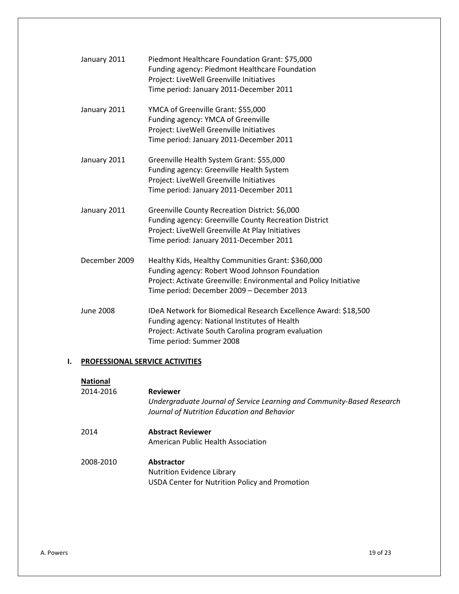| January 2011  | Piedmont Healthcare Foundation Grant: \$75,000<br>Funding agency: Piedmont Healthcare Foundation<br>Project: LiveWell Greenville Initiatives<br>Time period: January 2011-December 2011                                 |
|---------------|-------------------------------------------------------------------------------------------------------------------------------------------------------------------------------------------------------------------------|
| January 2011  | YMCA of Greenville Grant: \$55,000<br>Funding agency: YMCA of Greenville<br>Project: LiveWell Greenville Initiatives<br>Time period: January 2011-December 2011                                                         |
| January 2011  | Greenville Health System Grant: \$55,000<br>Funding agency: Greenville Health System<br>Project: LiveWell Greenville Initiatives<br>Time period: January 2011-December 2011                                             |
| January 2011  | Greenville County Recreation District: \$6,000<br>Funding agency: Greenville County Recreation District<br>Project: LiveWell Greenville At Play Initiatives<br>Time period: January 2011-December 2011                  |
| December 2009 | Healthy Kids, Healthy Communities Grant: \$360,000<br>Funding agency: Robert Wood Johnson Foundation<br>Project: Activate Greenville: Environmental and Policy Initiative<br>Time period: December 2009 - December 2013 |
| June 2008     | IDeA Network for Biomedical Research Excellence Award: \$18,500<br>Funding agency: National Institutes of Health<br>Project: Activate South Carolina program evaluation<br>Time period: Summer 2008                     |

## **I. PROFESSIONAL SERVICE ACTIVITIES**

| <b>National</b> |                                                                                                                                          |
|-----------------|------------------------------------------------------------------------------------------------------------------------------------------|
| 2014-2016       | <b>Reviewer</b><br>Undergraduate Journal of Service Learning and Community-Based Research<br>Journal of Nutrition Education and Behavior |
| 2014            | <b>Abstract Reviewer</b><br>American Public Health Association                                                                           |
| 2008-2010       | <b>Abstractor</b><br>Nutrition Evidence Library<br>USDA Center for Nutrition Policy and Promotion                                        |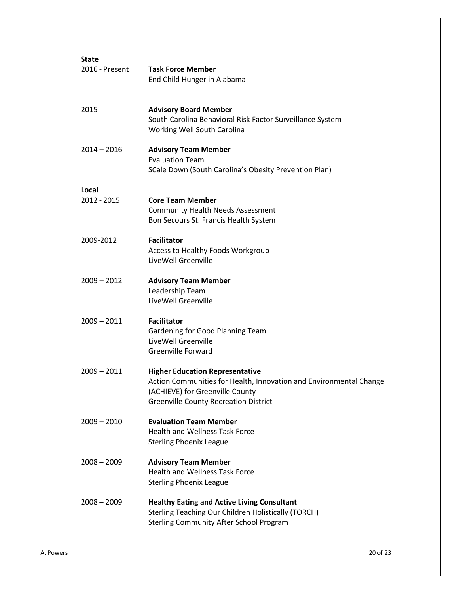| <b>State</b>   |                                                                                                                                                                                                 |
|----------------|-------------------------------------------------------------------------------------------------------------------------------------------------------------------------------------------------|
| 2016 - Present | <b>Task Force Member</b><br>End Child Hunger in Alabama                                                                                                                                         |
| 2015           | <b>Advisory Board Member</b><br>South Carolina Behavioral Risk Factor Surveillance System<br>Working Well South Carolina                                                                        |
| $2014 - 2016$  | <b>Advisory Team Member</b><br><b>Evaluation Team</b><br>SCale Down (South Carolina's Obesity Prevention Plan)                                                                                  |
| Local          |                                                                                                                                                                                                 |
| 2012 - 2015    | <b>Core Team Member</b><br><b>Community Health Needs Assessment</b><br>Bon Secours St. Francis Health System                                                                                    |
| 2009-2012      | <b>Facilitator</b><br>Access to Healthy Foods Workgroup<br>LiveWell Greenville                                                                                                                  |
| $2009 - 2012$  | <b>Advisory Team Member</b><br>Leadership Team<br>LiveWell Greenville                                                                                                                           |
| $2009 - 2011$  | <b>Facilitator</b><br>Gardening for Good Planning Team<br>LiveWell Greenville<br><b>Greenville Forward</b>                                                                                      |
| $2009 - 2011$  | <b>Higher Education Representative</b><br>Action Communities for Health, Innovation and Environmental Change<br>(ACHIEVE) for Greenville County<br><b>Greenville County Recreation District</b> |
| $2009 - 2010$  | <b>Evaluation Team Member</b><br><b>Health and Wellness Task Force</b><br><b>Sterling Phoenix League</b>                                                                                        |
| $2008 - 2009$  | <b>Advisory Team Member</b><br><b>Health and Wellness Task Force</b><br><b>Sterling Phoenix League</b>                                                                                          |
| $2008 - 2009$  | <b>Healthy Eating and Active Living Consultant</b><br><b>Sterling Teaching Our Children Holistically (TORCH)</b><br><b>Sterling Community After School Program</b>                              |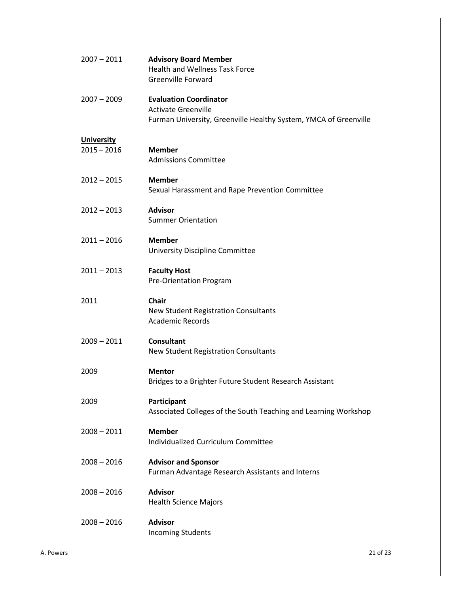| $2007 - 2011$                      | <b>Advisory Board Member</b><br><b>Health and Wellness Task Force</b><br><b>Greenville Forward</b>                              |
|------------------------------------|---------------------------------------------------------------------------------------------------------------------------------|
| $2007 - 2009$                      | <b>Evaluation Coordinator</b><br><b>Activate Greenville</b><br>Furman University, Greenville Healthy System, YMCA of Greenville |
| <b>University</b><br>$2015 - 2016$ | <b>Member</b><br><b>Admissions Committee</b>                                                                                    |
| $2012 - 2015$                      | <b>Member</b><br>Sexual Harassment and Rape Prevention Committee                                                                |
| $2012 - 2013$                      | <b>Advisor</b><br><b>Summer Orientation</b>                                                                                     |
| $2011 - 2016$                      | <b>Member</b><br><b>University Discipline Committee</b>                                                                         |
| $2011 - 2013$                      | <b>Faculty Host</b><br>Pre-Orientation Program                                                                                  |
| 2011                               | <b>Chair</b><br>New Student Registration Consultants<br><b>Academic Records</b>                                                 |
| $2009 - 2011$                      | <b>Consultant</b><br>New Student Registration Consultants                                                                       |
| 2009                               | <b>Mentor</b><br>Bridges to a Brighter Future Student Research Assistant                                                        |
| 2009                               | Participant<br>Associated Colleges of the South Teaching and Learning Workshop                                                  |
| $2008 - 2011$                      | <b>Member</b><br>Individualized Curriculum Committee                                                                            |
| $2008 - 2016$                      | <b>Advisor and Sponsor</b><br>Furman Advantage Research Assistants and Interns                                                  |
| $2008 - 2016$                      | <b>Advisor</b><br><b>Health Science Majors</b>                                                                                  |
| $2008 - 2016$                      | <b>Advisor</b><br><b>Incoming Students</b>                                                                                      |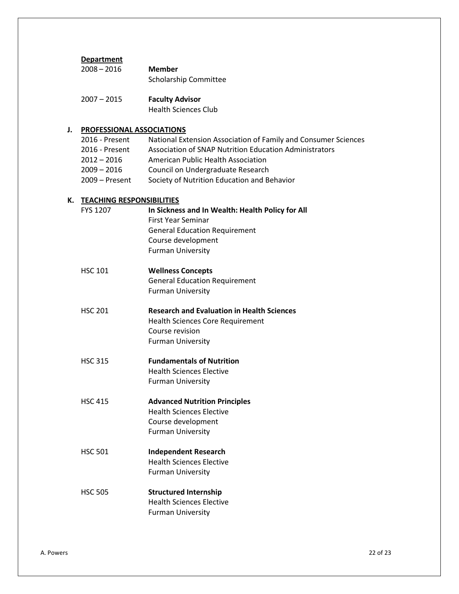### **Department**

| 2008 – 2016 | Member                       |
|-------------|------------------------------|
|             | <b>Scholarship Committee</b> |

2007 – 2015 **Faculty Advisor** Health Sciences Club

#### **J. PROFESSIONAL ASSOCIATIONS**

| 2016 - Present | National Extension Association of Family and Consumer Sciences |
|----------------|----------------------------------------------------------------|
| 2016 - Present | Association of SNAP Nutrition Education Administrators         |
| $2012 - 2016$  | American Public Health Association                             |
| $2009 - 2016$  | Council on Undergraduate Research                              |
| 2009 – Present | Society of Nutrition Education and Behavior                    |

#### **K. TEACHING RESPONSIBILITIES**

| <b>FYS 1207</b> | In Sickness and In Wealth: Health Policy for All |
|-----------------|--------------------------------------------------|
|                 | First Year Seminar                               |
|                 | <b>General Education Requirement</b>             |
|                 | Course development                               |
|                 | <b>Furman University</b>                         |
| <b>HSC 101</b>  | <b>Wellness Concepts</b>                         |

General Education Requirement Furman University

- HSC 201 **Research and Evaluation in Health Sciences** Health Sciences Core Requirement Course revision Furman University
- HSC 315 **Fundamentals of Nutrition** Health Sciences Elective Furman University
- HSC 415 **Advanced Nutrition Principles** Health Sciences Elective Course development Furman University
- HSC 501 **Independent Research** Health Sciences Elective Furman University

# HSC 505 **Structured Internship** Health Sciences Elective Furman University